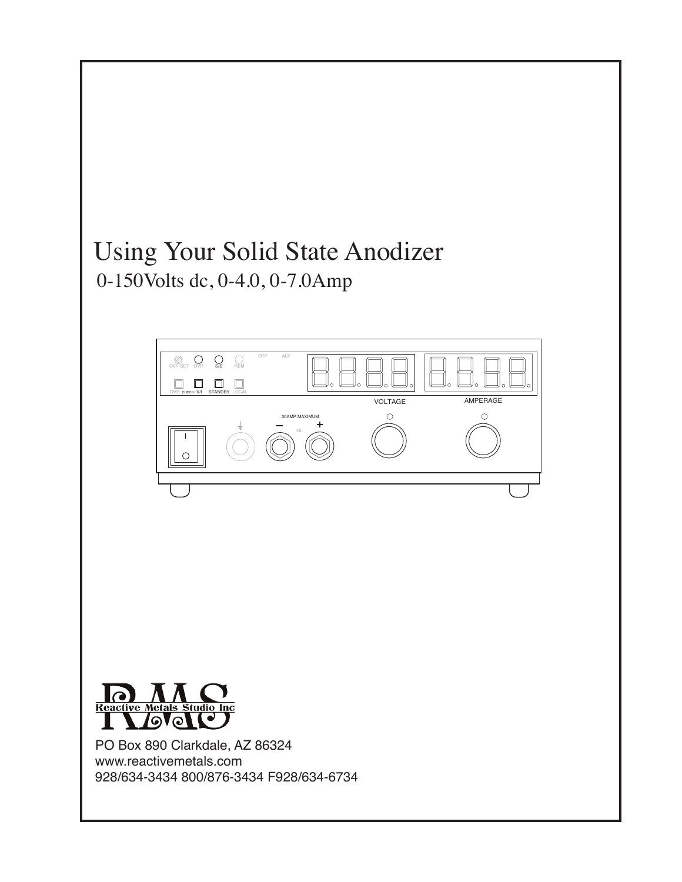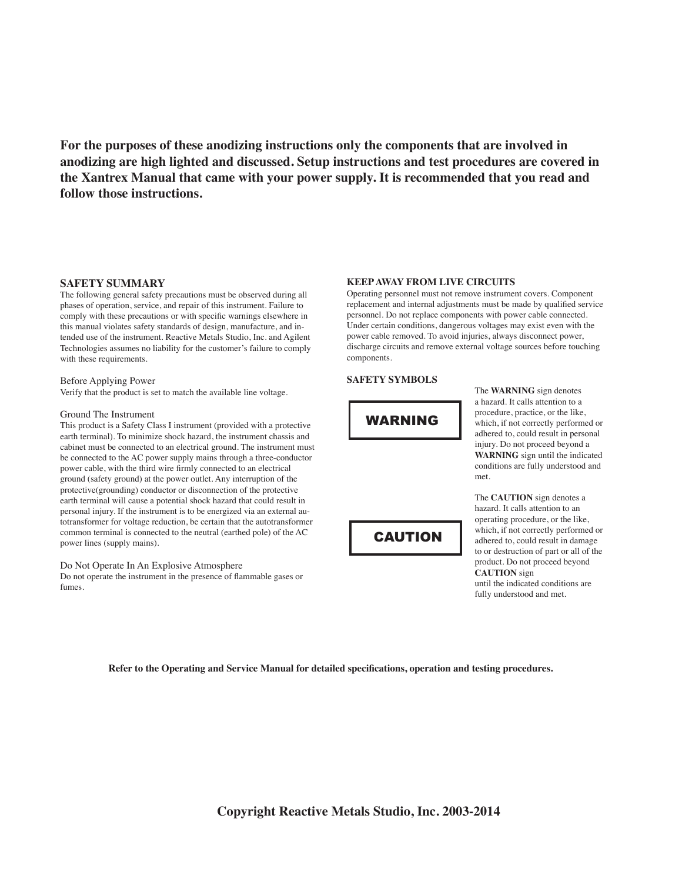**For the purposes of these anodizing instructions only the components that are involved in anodizing are high lighted and discussed. Setup instructions and test procedures are covered in the Xantrex Manual that came with your power supply. It is recommended that you read and follow those instructions.**

### **SAFETY SUMMARY**

The following general safety precautions must be observed during all phases of operation, service, and repair of this instrument. Failure to comply with these precautions or with specific warnings elsewhere in this manual violates safety standards of design, manufacture, and intended use of the instrument. Reactive Metals Studio, Inc. and Agilent Technologies assumes no liability for the customer's failure to comply with these requirements.

#### Before Applying Power

Verify that the product is set to match the available line voltage.

#### Ground The Instrument

This product is a Safety Class I instrument (provided with a protective earth terminal). To minimize shock hazard, the instrument chassis and cabinet must be connected to an electrical ground. The instrument must be connected to the AC power supply mains through a three-conductor power cable, with the third wire firmly connected to an electrical ground (safety ground) at the power outlet. Any interruption of the protective(grounding) conductor or disconnection of the protective earth terminal will cause a potential shock hazard that could result in personal injury. If the instrument is to be energized via an external autotransformer for voltage reduction, be certain that the autotransformer common terminal is connected to the neutral (earthed pole) of the AC power lines (supply mains).

Do Not Operate In An Explosive Atmosphere Do not operate the instrument in the presence of flammable gases or fumes.

### **KEEP AWAY FROM LIVE CIRCUITS**

Operating personnel must not remove instrument covers. Component replacement and internal adjustments must be made by qualified service personnel. Do not replace components with power cable connected. Under certain conditions, dangerous voltages may exist even with the power cable removed. To avoid injuries, always disconnect power, discharge circuits and remove external voltage sources before touching components.

## **SAFETY SYMBOLS**



CAUTION

The **WARNING** sign denotes a hazard. It calls attention to a procedure, practice, or the like, which, if not correctly performed or adhered to, could result in personal injury. Do not proceed beyond a **WARNING** sign until the indicated conditions are fully understood and met.

hazard. It calls attention to an operating procedure, or the like, which, if not correctly performed or adhered to, could result in damage to or destruction of part or all of the product. Do not proceed beyond **CAUTION** sign until the indicated conditions are fully understood and met.

The **CAUTION** sign denotes a

**Refer to the Operating and Service Manual for detailed specifications, operation and testing procedures.**

**Copyright Reactive Metals Studio, Inc. 2003-2014**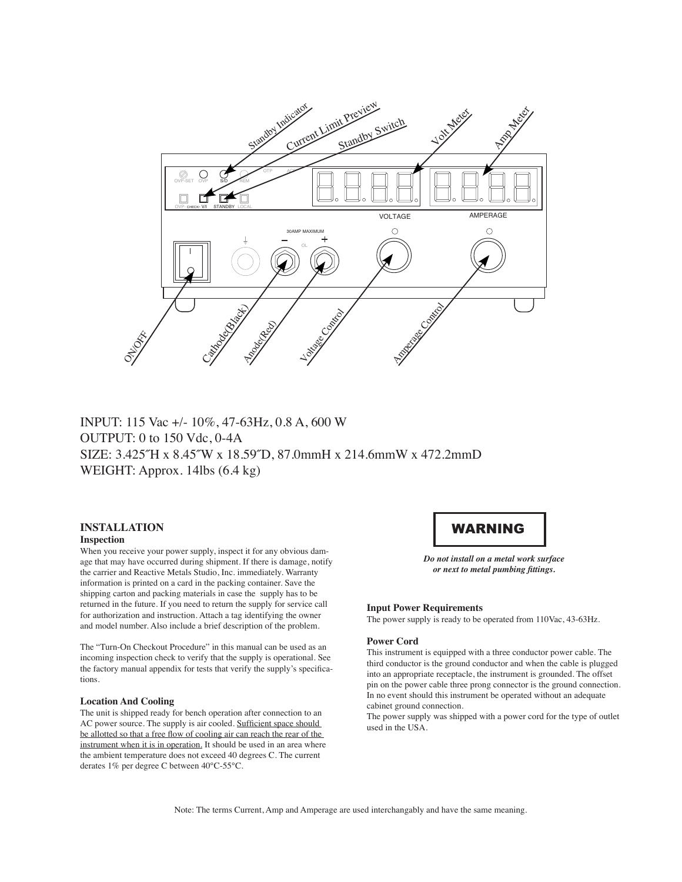

## INPUT: 115 Vac +/- 10%, 47-63Hz, 0.8 A, 600 W OUTPUT: 0 to 150 Vdc, 0-4A SIZE: 3.425˝H x 8.45˝W x 18.59˝D, 87.0mmH x 214.6mmW x 472.2mmD WEIGHT: Approx. 14lbs (6.4 kg)

## **INSTALLATION Inspection**

When you receive your power supply, inspect it for any obvious damage that may have occurred during shipment. If there is damage, notify the carrier and Reactive Metals Studio, Inc. immediately. Warranty information is printed on a card in the packing container. Save the shipping carton and packing materials in case the supply has to be returned in the future. If you need to return the supply for service call for authorization and instruction. Attach a tag identifying the owner and model number. Also include a brief description of the problem.

The "Turn-On Checkout Procedure" in this manual can be used as an incoming inspection check to verify that the supply is operational. See the factory manual appendix for tests that verify the supply's specifications.

#### **Location And Cooling**

The unit is shipped ready for bench operation after connection to an AC power source. The supply is air cooled. Sufficient space should be allotted so that a free flow of cooling air can reach the rear of the instrument when it is in operation. It should be used in an area where the ambient temperature does not exceed 40 degrees C. The current derates 1% per degree C between 40°C-55°C.

## WARNING

*Do not install on a metal work surface or next to metal pumbing fittings.*

#### **Input Power Requirements**

The power supply is ready to be operated from 110Vac, 43-63Hz.

## **Power Cord**

This instrument is equipped with a three conductor power cable. The third conductor is the ground conductor and when the cable is plugged into an appropriate receptacle, the instrument is grounded. The offset pin on the power cable three prong connector is the ground connection. In no event should this instrument be operated without an adequate cabinet ground connection.

The power supply was shipped with a power cord for the type of outlet used in the USA.

Note: The terms Current, Amp and Amperage are used interchangably and have the same meaning.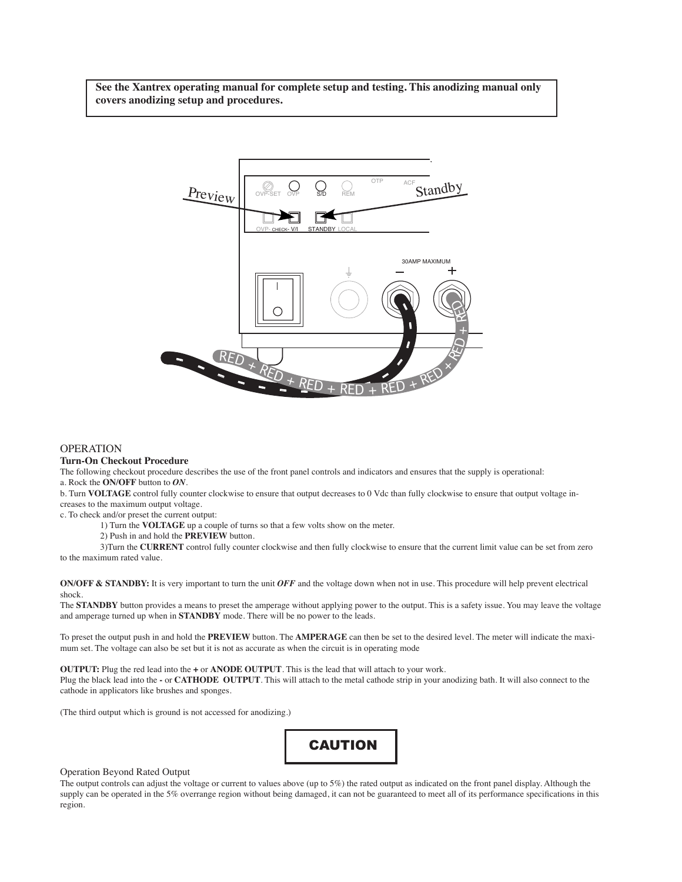**See the Xantrex operating manual for complete setup and testing. This anodizing manual only covers anodizing setup and procedures.**



## **OPERATION**

#### **Turn-On Checkout Procedure**

The following checkout procedure describes the use of the front panel controls and indicators and ensures that the supply is operational:

a. Rock the **ON/OFF** button to *ON*.

b. Turn **VOLTAGE** control fully counter clockwise to ensure that output decreases to 0 Vdc than fully clockwise to ensure that output voltage increases to the maximum output voltage.

c. To check and/or preset the current output:

1) Turn the **VOLTAGE** up a couple of turns so that a few volts show on the meter.

2) Push in and hold the **PREVIEW** button.

3)Turn the **CURRENT** control fully counter clockwise and then fully clockwise to ensure that the current limit value can be set from zero to the maximum rated value.

**ON/OFF & STANDBY:** It is very important to turn the unit *OFF* and the voltage down when not in use. This procedure will help prevent electrical shock.

The **STANDBY** button provides a means to preset the amperage without applying power to the output. This is a safety issue. You may leave the voltage and amperage turned up when in **STANDBY** mode. There will be no power to the leads.

To preset the output push in and hold the **PREVIEW** button. The **AMPERAGE** can then be set to the desired level. The meter will indicate the maximum set. The voltage can also be set but it is not as accurate as when the circuit is in operating mode

**OUTPUT:** Plug the red lead into the **+** or **ANODE OUTPUT**. This is the lead that will attach to your work.

Plug the black lead into the **-** or **CATHODE OUTPUT**. This will attach to the metal cathode strip in your anodizing bath. It will also connect to the cathode in applicators like brushes and sponges.

(The third output which is ground is not accessed for anodizing.)



### Operation Beyond Rated Output

The output controls can adjust the voltage or current to values above (up to 5%) the rated output as indicated on the front panel display. Although the supply can be operated in the 5% overrange region without being damaged, it can not be guaranteed to meet all of its performance specifications in this region.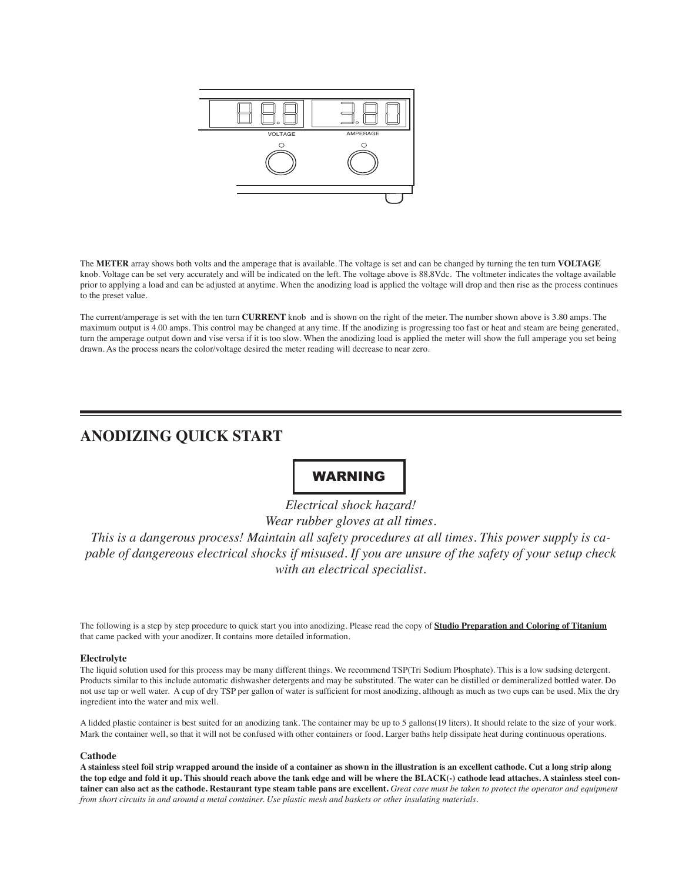

The **METER** array shows both volts and the amperage that is available. The voltage is set and can be changed by turning the ten turn **VOLTAGE**  knob. Voltage can be set very accurately and will be indicated on the left. The voltage above is 88.8Vdc. The voltmeter indicates the voltage available prior to applying a load and can be adjusted at anytime. When the anodizing load is applied the voltage will drop and then rise as the process continues to the preset value.

The current/amperage is set with the ten turn **CURRENT** knob and is shown on the right of the meter. The number shown above is 3.80 amps. The maximum output is 4.00 amps. This control may be changed at any time. If the anodizing is progressing too fast or heat and steam are being generated, turn the amperage output down and vise versa if it is too slow. When the anodizing load is applied the meter will show the full amperage you set being drawn. As the process nears the color/voltage desired the meter reading will decrease to near zero.

## **ANODIZING QUICK START**

# WARNING

*Electrical shock hazard! Wear rubber gloves at all times. This is a dangerous process! Maintain all safety procedures at all times. This power supply is capable of dangereous electrical shocks if misused. If you are unsure of the safety of your setup check with an electrical specialist.* 

The following is a step by step procedure to quick start you into anodizing. Please read the copy of **Studio Preparation and Coloring of Titanium** that came packed with your anodizer. It contains more detailed information.

## **Electrolyte**

The liquid solution used for this process may be many different things. We recommend TSP(Tri Sodium Phosphate). This is a low sudsing detergent. Products similar to this include automatic dishwasher detergents and may be substituted. The water can be distilled or demineralized bottled water. Do not use tap or well water. A cup of dry TSP per gallon of water is sufficient for most anodizing, although as much as two cups can be used. Mix the dry ingredient into the water and mix well.

A lidded plastic container is best suited for an anodizing tank. The container may be up to 5 gallons(19 liters). It should relate to the size of your work. Mark the container well, so that it will not be confused with other containers or food. Larger baths help dissipate heat during continuous operations.

#### **Cathode**

**A stainless steel foil strip wrapped around the inside of a container as shown in the illustration is an excellent cathode. Cut a long strip along the top edge and fold it up. This should reach above the tank edge and will be where the BLACK(-) cathode lead attaches. A stainless steel container can also act as the cathode. Restaurant type steam table pans are excellent.** *Great care must be taken to protect the operator and equipment from short circuits in and around a metal container. Use plastic mesh and baskets or other insulating materials.*